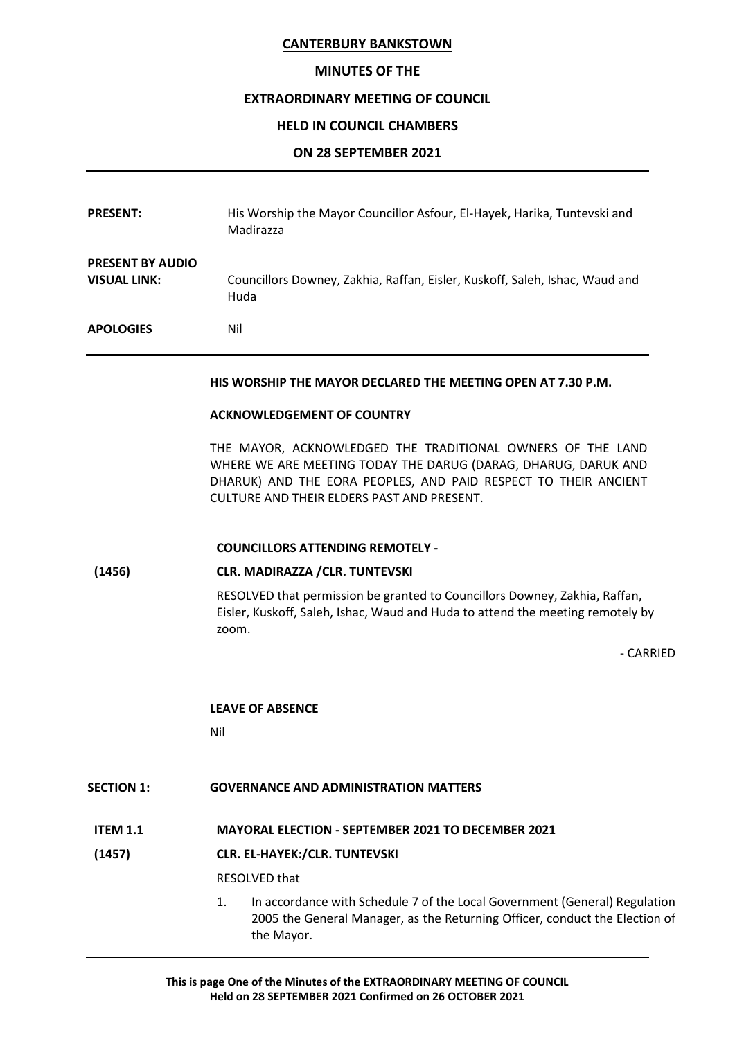## CANTERBURY BANKSTOWN

# MINUTES OF THE

## EXTRAORDINARY MEETING OF COUNCIL

### HELD IN COUNCIL CHAMBERS

### ON 28 SEPTEMBER 2021

| <b>PRESENT:</b>                                | His Worship the Mayor Councillor Asfour, El-Hayek, Harika, Tuntevski and<br>Madirazza |
|------------------------------------------------|---------------------------------------------------------------------------------------|
| <b>PRESENT BY AUDIO</b><br><b>VISUAL LINK:</b> | Councillors Downey, Zakhia, Raffan, Eisler, Kuskoff, Saleh, Ishac, Waud and<br>Huda   |
| <b>APOLOGIES</b>                               | Nil                                                                                   |

#### HIS WORSHIP THE MAYOR DECLARED THE MEETING OPEN AT 7.30 P.M.

#### ACKNOWLEDGEMENT OF COUNTRY

THE MAYOR, ACKNOWLEDGED THE TRADITIONAL OWNERS OF THE LAND WHERE WE ARE MEETING TODAY THE DARUG (DARAG, DHARUG, DARUK AND DHARUK) AND THE EORA PEOPLES, AND PAID RESPECT TO THEIR ANCIENT CULTURE AND THEIR ELDERS PAST AND PRESENT.

## COUNCILLORS ATTENDING REMOTELY -

## (1456) CLR. MADIRAZZA /CLR. TUNTEVSKI

RESOLVED that permission be granted to Councillors Downey, Zakhia, Raffan, Eisler, Kuskoff, Saleh, Ishac, Waud and Huda to attend the meeting remotely by zoom.

- CARRIED

## LEAVE OF ABSENCE

**Nilling Contracts Nilling** 

## SECTION 1: GOVERNANCE AND ADMINISTRATION MATTERS

## ITEM 1.1 MAYORAL ELECTION - SEPTEMBER 2021 TO DECEMBER 2021

## (1457) CLR. EL-HAYEK:/CLR. TUNTEVSKI

RESOLVED that

1. In accordance with Schedule 7 of the Local Government (General) Regulation 2005 the General Manager, as the Returning Officer, conduct the Election of the Mayor.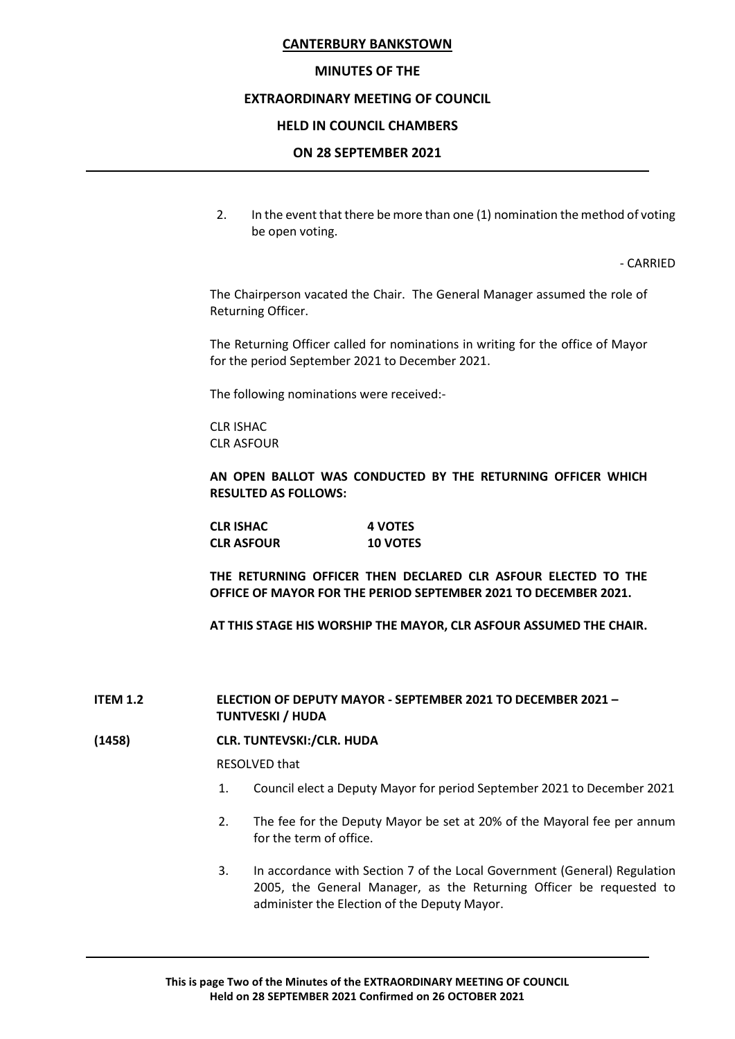### CANTERBURY BANKSTOWN

### MINUTES OF THE

#### EXTRAORDINARY MEETING OF COUNCIL

### HELD IN COUNCIL CHAMBERS

### ON 28 SEPTEMBER 2021

2. In the event that there be more than one (1) nomination the method of voting be open voting.

- CARRIED

 The Chairperson vacated the Chair. The General Manager assumed the role of Returning Officer.

 The Returning Officer called for nominations in writing for the office of Mayor for the period September 2021 to December 2021.

The following nominations were received:-

 CLR ISHAC CLR ASFOUR

AN OPEN BALLOT WAS CONDUCTED BY THE RETURNING OFFICER WHICH RESULTED AS FOLLOWS:

 CLR ISHAC 4 VOTES CLR ASFOUR 10 VOTES

 THE RETURNING OFFICER THEN DECLARED CLR ASFOUR ELECTED TO THE OFFICE OF MAYOR FOR THE PERIOD SEPTEMBER 2021 TO DECEMBER 2021.

AT THIS STAGE HIS WORSHIP THE MAYOR, CLR ASFOUR ASSUMED THE CHAIR.

ITEM 1.2 ELECTION OF DEPUTY MAYOR - SEPTEMBER 2021 TO DECEMBER 2021 – TUNTVESKI / HUDA

#### (1458) CLR. TUNTEVSKI:/CLR. HUDA

RESOLVED that

- 1. Council elect a Deputy Mayor for period September 2021 to December 2021
- 2. The fee for the Deputy Mayor be set at 20% of the Mayoral fee per annum for the term of office.
- 3. In accordance with Section 7 of the Local Government (General) Regulation 2005, the General Manager, as the Returning Officer be requested to administer the Election of the Deputy Mayor.

This is page Two of the Minutes of the EXTRAORDINARY MEETING OF COUNCIL Held on 28 SEPTEMBER 2021 Confirmed on 26 OCTOBER 2021